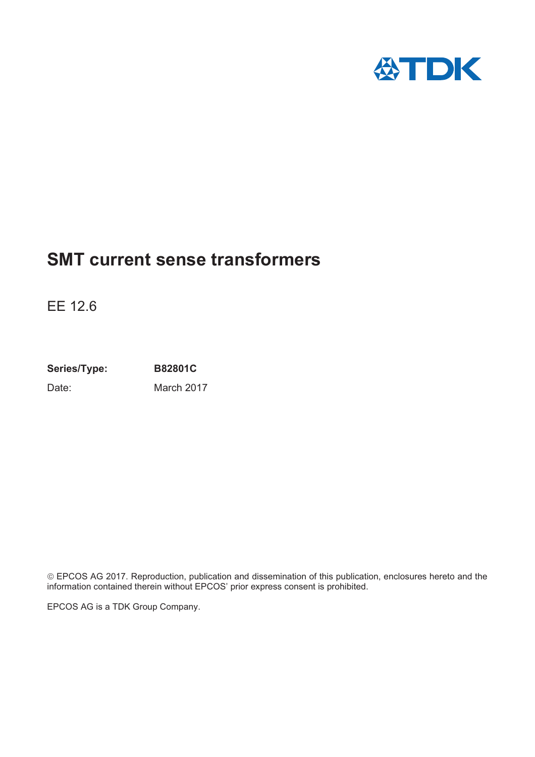

## **SMT current sense transformers**

EE 12.6

**Series/Type: B82801C** Date: March 2017

© EPCOS AG 2017. Reproduction, publication and dissemination of this publication, enclosures hereto and the information contained therein without EPCOS' prior express consent is prohibited.

EPCOS AG is a TDK Group Company.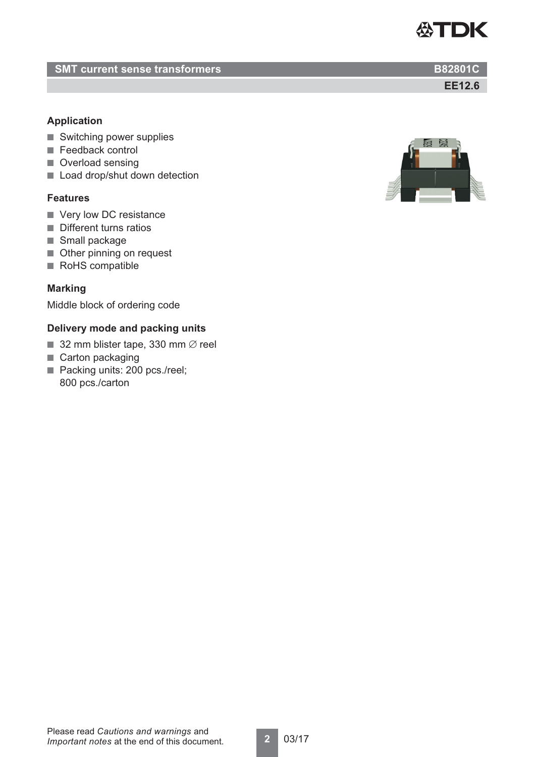### **SMT current sense transformers B82801C**

### **Application**

- Switching power supplies
- Feedback control
- Overload sensing
- Load drop/shut down detection

#### **Features**

- Very low DC resistance
- Different turns ratios
- Small package
- Other pinning on request
- RoHS compatible

#### **Marking**

Middle block of ordering code

### **Delivery mode and packing units**

- 32 mm blister tape, 330 mm  $\emptyset$  reel
- Carton packaging
- Packing units: 200 pcs./reel;
- 800 pcs./carton



#### Please read *Cautions and warnings* and *Important notes* at the end of this document.

**EE12.6**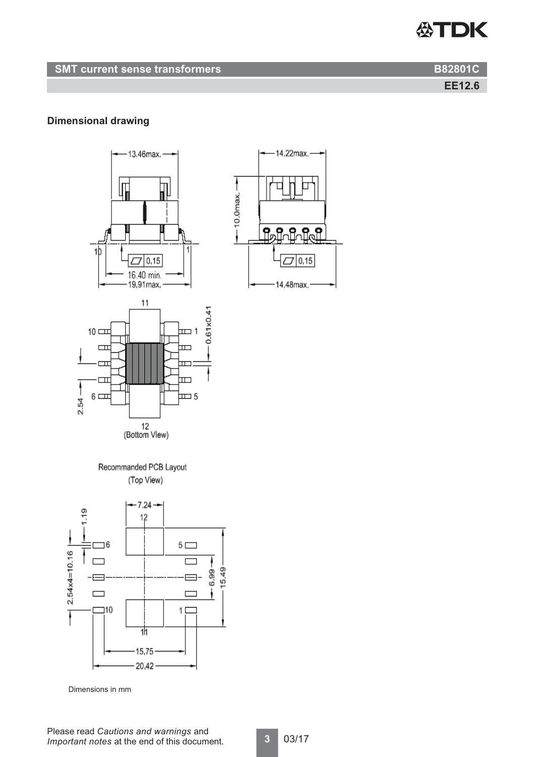**EE12.6**

### **Dimensional drawing**



Recommanded PCB Layout (Top View)



Dimensions in mm

14.22max.

Lol

 $0.15$ 

14.48max

 $-10.0$ max

٩,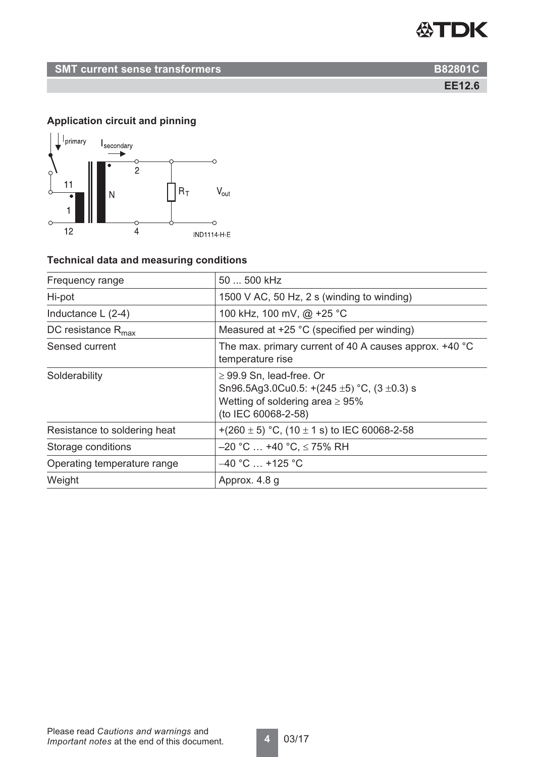**EE12.6**

### **Application circuit and pinning**



### **Technical data and measuring conditions**

| Frequency range                | 50  500 kHz                                                                                                                                           |
|--------------------------------|-------------------------------------------------------------------------------------------------------------------------------------------------------|
| Hi-pot                         | 1500 V AC, 50 Hz, 2 s (winding to winding)                                                                                                            |
| Inductance $L(2-4)$            | 100 kHz, 100 mV, @ +25 °C                                                                                                                             |
| DC resistance $R_{\text{max}}$ | Measured at +25 °C (specified per winding)                                                                                                            |
| Sensed current                 | The max. primary current of 40 A causes approx. +40 °C<br>temperature rise                                                                            |
| Solderability                  | $\geq$ 99.9 Sn, lead-free. Or<br>Sn96.5Ag3.0Cu0.5: $+(245 \pm 5)$ °C, (3 $\pm$ 0.3) s<br>Wetting of soldering area $\geq 95\%$<br>(to IEC 60068-2-58) |
| Resistance to soldering heat   | +(260 $\pm$ 5) °C, (10 $\pm$ 1 s) to IEC 60068-2-58                                                                                                   |
| Storage conditions             | $-20$ °C $\ldots$ +40 °C, $\leq$ 75% RH                                                                                                               |
| Operating temperature range    | $-40$ °C $\ldots$ +125 °C                                                                                                                             |
| Weight                         | Approx. 4.8 g                                                                                                                                         |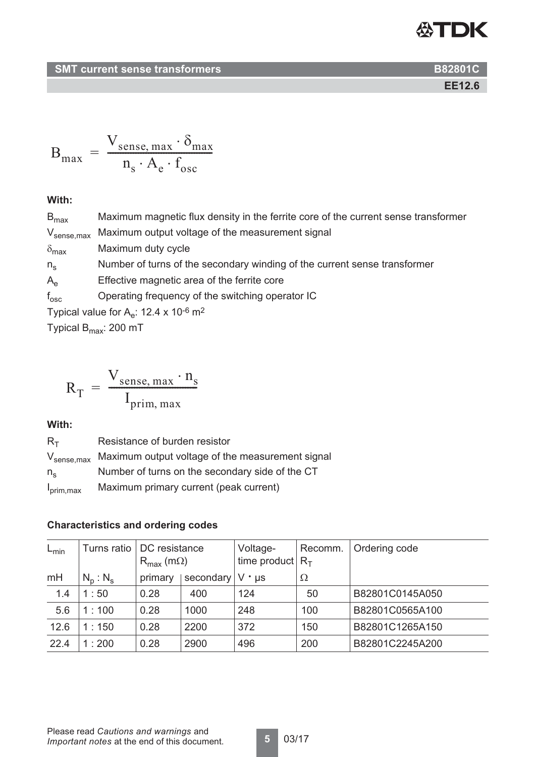### **EE12.6**

$$
B_{max} = \frac{V_{sense, max} \cdot \delta_{max}}{n_s \cdot A_e \cdot f_{osc}}
$$

### **With:**

| $B_{\text{max}}$                                                 | Maximum magnetic flux density in the ferrite core of the current sense transformer |  |  |
|------------------------------------------------------------------|------------------------------------------------------------------------------------|--|--|
| $V_{\text{sense,max}}$                                           | Maximum output voltage of the measurement signal                                   |  |  |
| $\delta_{\text{max}}$                                            | Maximum duty cycle                                                                 |  |  |
| $n_{\rm s}$                                                      | Number of turns of the secondary winding of the current sense transformer          |  |  |
| $A_{\rho}$                                                       | Effective magnetic area of the ferrite core                                        |  |  |
| $f_{\rm osc}$                                                    | Operating frequency of the switching operator IC                                   |  |  |
| Typical value for $A_e$ : 12.4 x 10 <sup>-6</sup> m <sup>2</sup> |                                                                                    |  |  |

Typical  $B_{\text{max}}$ : 200 mT

$$
R_{T} = \frac{V_{\text{sense, max}} \cdot n_{s}}{I_{\text{prim, max}}}
$$

#### **With:**

| $R_{\text{T}}$        | Resistance of burden resistor                                            |
|-----------------------|--------------------------------------------------------------------------|
|                       | V <sub>sense, max</sub> Maximum output voltage of the measurement signal |
| $n_{\rm s}$           | Number of turns on the secondary side of the CT                          |
| $I_{\text{prim,max}}$ | Maximum primary current (peak current)                                   |

### **Characteristics and ordering codes**

| $L_{\text{min}}$ | Turns ratio | DC resistance<br>$R_{\text{max}}$ (m $\Omega$ ) |           | Voltage-<br>time product | Recomm.<br>$R_{\tau}$ | Ordering code   |
|------------------|-------------|-------------------------------------------------|-----------|--------------------------|-----------------------|-----------------|
| mH               | $N_p : N_s$ | primary                                         | secondary | $V \cdot \mu s$          | Ω                     |                 |
| 1.4              | 1:50        | 0.28                                            | 400       | 124                      | 50                    | B82801C0145A050 |
| 5.6              | 1:100       | 0.28                                            | 1000      | 248                      | 100                   | B82801C0565A100 |
| 12.6             | 1:150       | 0.28                                            | 2200      | 372                      | 150                   | B82801C1265A150 |
| 22.4             | 1:200       | 0.28                                            | 2900      | 496                      | 200                   | B82801C2245A200 |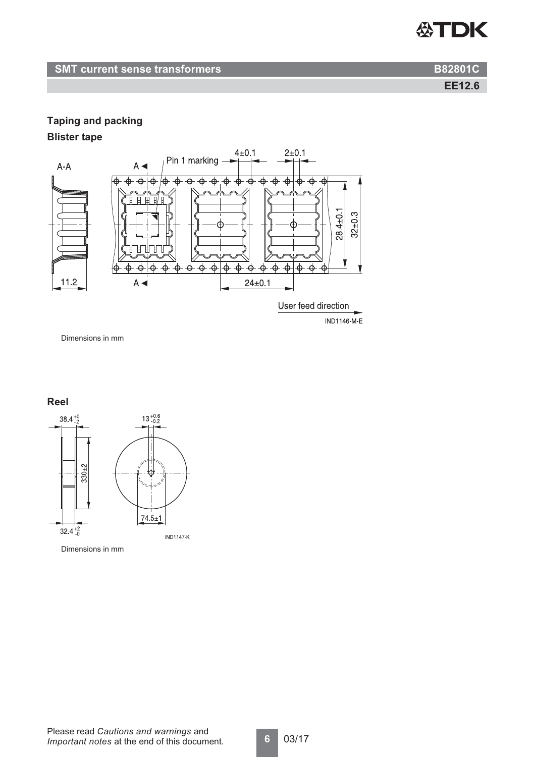

**EE12.6**

### **Taping and packing**

### **Blister tape**



Dimensions in mm

### **Reel**

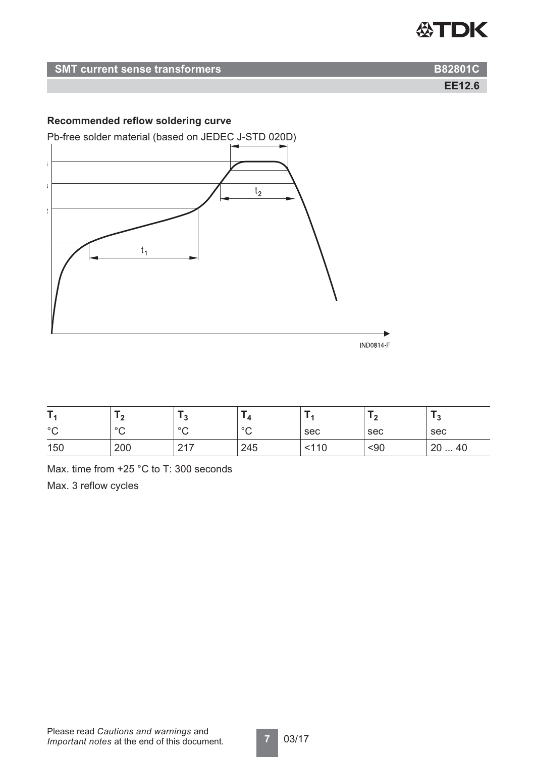| <b>SMT current sense transformers</b> | <b>B82801C</b> |
|---------------------------------------|----------------|
|                                       | <b>EE12.6</b>  |

### **Recommended reflow soldering curve**



|              | $\sqrt{2}$<br>- |                              | <u> 14</u>   |     |      |      |
|--------------|-----------------|------------------------------|--------------|-----|------|------|
| $\circ$<br>◡ | $\circ$<br>◡    | $\circ$<br>ັ                 | $\circ$<br>◡ | sec | sec  | sec  |
| 150          | 200             | $\bigcap$ $\bigcap$<br>$-11$ | 245          | 110 | $90$ | 2040 |

Max. time from +25 °C to T: 300 seconds Max. 3 reflow cycles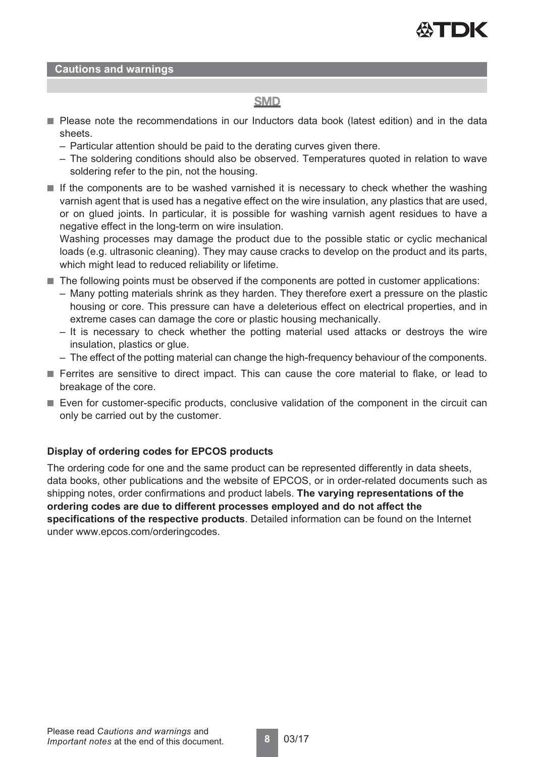

**Cautions and warnings**

### **SMD**

- Please note the recommendations in our Inductors data book (latest edition) and in the data sheets.
	- Particular attention should be paid to the derating curves given there.
	- The soldering conditions should also be observed. Temperatures quoted in relation to wave soldering refer to the pin, not the housing.
- If the components are to be washed varnished it is necessary to check whether the washing varnish agent that is used has a negative effect on the wire insulation, any plastics that are used, or on glued joints. In particular, it is possible for washing varnish agent residues to have a negative effect in the long-term on wire insulation.

Washing processes may damage the product due to the possible static or cyclic mechanical loads (e.g. ultrasonic cleaning). They may cause cracks to develop on the product and its parts, which might lead to reduced reliability or lifetime.

- The following points must be observed if the components are potted in customer applications:
	- Many potting materials shrink as they harden. They therefore exert a pressure on the plastic housing or core. This pressure can have a deleterious effect on electrical properties, and in extreme cases can damage the core or plastic housing mechanically.
	- It is necessary to check whether the potting material used attacks or destroys the wire insulation, plastics or glue.
	- The effect of the potting material can change the high-frequency behaviour of the components.
- Ferrites are sensitive to direct impact. This can cause the core material to flake, or lead to breakage of the core.
- Even for customer-specific products, conclusive validation of the component in the circuit can only be carried out by the customer.

#### **Display of ordering codes for EPCOS products**

The ordering code for one and the same product can be represented differently in data sheets, data books, other publications and the website of EPCOS, or in order-related documents such as shipping notes, order confirmations and product labels. **The varying representations of the ordering codes are due to different processes employed and do not affect the specifications of the respective products**. Detailed information can be found on the Internet under www.epcos.com/orderingcodes.